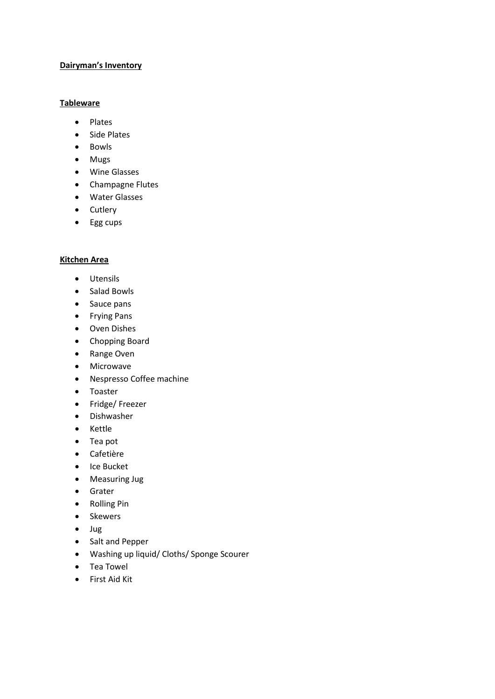### **Dairyman's Inventory**

### **Tableware**

- Plates
- Side Plates
- Bowls
- Mugs
- Wine Glasses
- Champagne Flutes
- Water Glasses
- Cutlery
- Egg cups

### **Kitchen Area**

- Utensils
- Salad Bowls
- Sauce pans
- Frying Pans
- Oven Dishes
- Chopping Board
- Range Oven
- Microwave
- Nespresso Coffee machine
- Toaster
- Fridge/ Freezer
- Dishwasher
- Kettle
- Tea pot
- Cafetière
- Ice Bucket
- Measuring Jug
- Grater
- Rolling Pin
- Skewers
- Jug
- Salt and Pepper
- Washing up liquid/ Cloths/ Sponge Scourer
- Tea Towel
- First Aid Kit